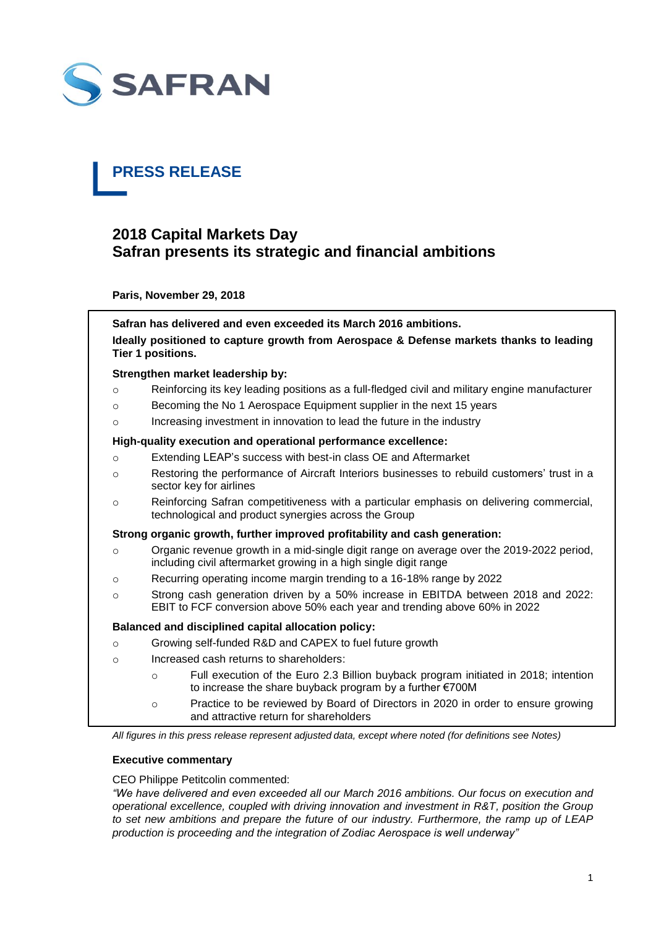

# **PRESS RELEASE**

# **2018 Capital Markets Day Safran presents its strategic and financial ambitions**

**Paris, November 29, 2018**

**Safran has delivered and even exceeded its March 2016 ambitions. Ideally positioned to capture growth from Aerospace & Defense markets thanks to leading Tier 1 positions.**

#### **Strengthen market leadership by:**

- o Reinforcing its key leading positions as a full-fledged civil and military engine manufacturer
- o Becoming the No 1 Aerospace Equipment supplier in the next 15 years
- o Increasing investment in innovation to lead the future in the industry

#### **High-quality execution and operational performance excellence:**

- o Extending LEAP's success with best-in class OE and Aftermarket
- o Restoring the performance of Aircraft Interiors businesses to rebuild customers' trust in a sector key for airlines
- o Reinforcing Safran competitiveness with a particular emphasis on delivering commercial, technological and product synergies across the Group

#### **Strong organic growth, further improved profitability and cash generation:**

- $\circ$  Organic revenue growth in a mid-single digit range on average over the 2019-2022 period. including civil aftermarket growing in a high single digit range
- o Recurring operating income margin trending to a 16-18% range by 2022
- o Strong cash generation driven by a 50% increase in EBITDA between 2018 and 2022: EBIT to FCF conversion above 50% each year and trending above 60% in 2022

# **Balanced and disciplined capital allocation policy:**

- o Growing self-funded R&D and CAPEX to fuel future growth
- o Increased cash returns to shareholders:
	- o Full execution of the Euro 2.3 Billion buyback program initiated in 2018; intention to increase the share buyback program by a further €700M
	- o Practice to be reviewed by Board of Directors in 2020 in order to ensure growing and attractive return for shareholders

*All figures in this press release represent adjusted data, except where noted (for definitions see Notes)* 

# **Executive commentary**

CEO Philippe Petitcolin commented:

*"We have delivered and even exceeded all our March 2016 ambitions. Our focus on execution and operational excellence, coupled with driving innovation and investment in R&T, position the Group to set new ambitions and prepare the future of our industry. Furthermore, the ramp up of LEAP production is proceeding and the integration of Zodiac Aerospace is well underway"*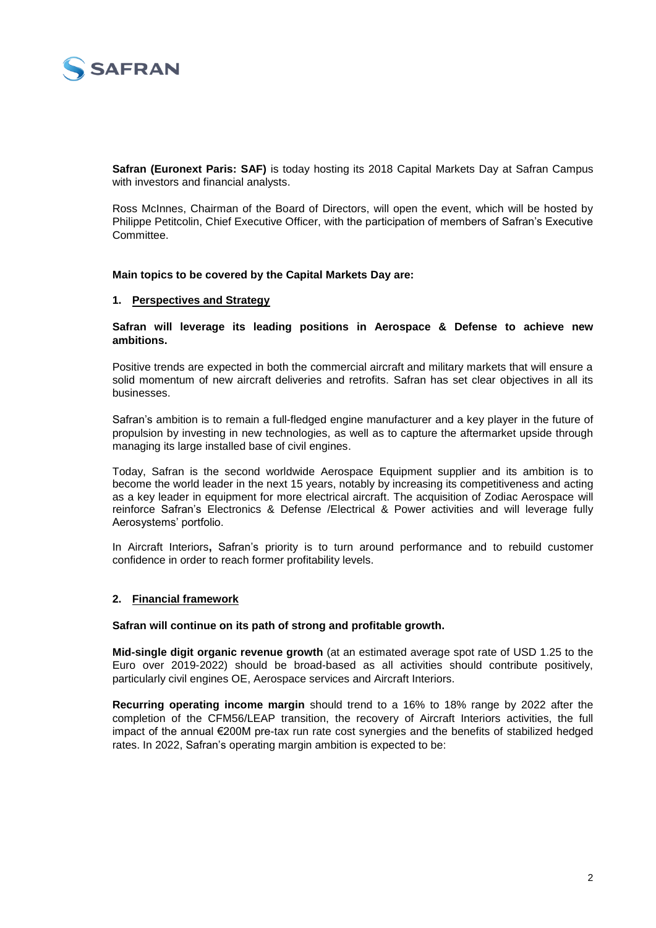

**Safran (Euronext Paris: SAF)** is today hosting its 2018 Capital Markets Day at Safran Campus with investors and financial analysts.

Ross McInnes, Chairman of the Board of Directors, will open the event, which will be hosted by Philippe Petitcolin, Chief Executive Officer, with the participation of members of Safran's Executive Committee.

**Main topics to be covered by the Capital Markets Day are:** 

#### **1. Perspectives and Strategy**

**Safran will leverage its leading positions in Aerospace & Defense to achieve new ambitions.**

Positive trends are expected in both the commercial aircraft and military markets that will ensure a solid momentum of new aircraft deliveries and retrofits. Safran has set clear objectives in all its businesses.

Safran's ambition is to remain a full-fledged engine manufacturer and a key player in the future of propulsion by investing in new technologies, as well as to capture the aftermarket upside through managing its large installed base of civil engines.

Today, Safran is the second worldwide Aerospace Equipment supplier and its ambition is to become the world leader in the next 15 years, notably by increasing its competitiveness and acting as a key leader in equipment for more electrical aircraft. The acquisition of Zodiac Aerospace will reinforce Safran's Electronics & Defense /Electrical & Power activities and will leverage fully Aerosystems' portfolio.

In Aircraft Interiors**,** Safran's priority is to turn around performance and to rebuild customer confidence in order to reach former profitability levels.

#### **2. Financial framework**

**Safran will continue on its path of strong and profitable growth.**

**Mid-single digit organic revenue growth** (at an estimated average spot rate of USD 1.25 to the Euro over 2019-2022) should be broad-based as all activities should contribute positively, particularly civil engines OE, Aerospace services and Aircraft Interiors.

**Recurring operating income margin** should trend to a 16% to 18% range by 2022 after the completion of the CFM56/LEAP transition, the recovery of Aircraft Interiors activities, the full impact of the annual €200M pre-tax run rate cost synergies and the benefits of stabilized hedged rates. In 2022, Safran's operating margin ambition is expected to be: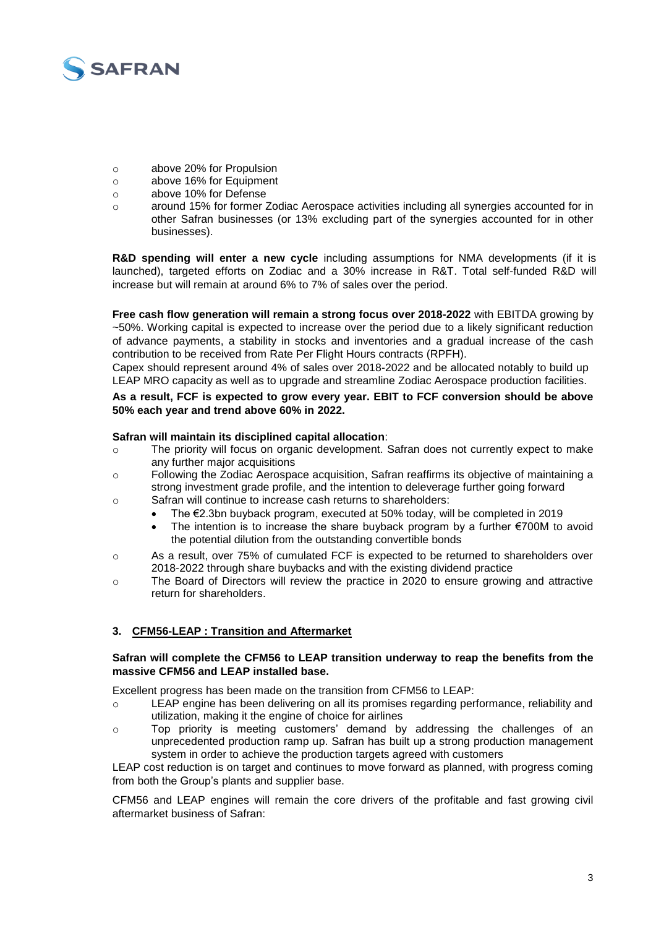

- o above 20% for Propulsion
- o above 16% for Equipment
- o above 10% for Defense
- o around 15% for former Zodiac Aerospace activities including all synergies accounted for in other Safran businesses (or 13% excluding part of the synergies accounted for in other businesses).

**R&D spending will enter a new cycle** including assumptions for NMA developments (if it is launched), targeted efforts on Zodiac and a 30% increase in R&T. Total self-funded R&D will increase but will remain at around 6% to 7% of sales over the period.

**Free cash flow generation will remain a strong focus over 2018-2022** with EBITDA growing by ~50%. Working capital is expected to increase over the period due to a likely significant reduction of advance payments, a stability in stocks and inventories and a gradual increase of the cash contribution to be received from Rate Per Flight Hours contracts (RPFH).

Capex should represent around 4% of sales over 2018-2022 and be allocated notably to build up LEAP MRO capacity as well as to upgrade and streamline Zodiac Aerospace production facilities.

#### **As a result, FCF is expected to grow every year. EBIT to FCF conversion should be above 50% each year and trend above 60% in 2022.**

#### **Safran will maintain its disciplined capital allocation**:

- o The priority will focus on organic development. Safran does not currently expect to make any further major acquisitions
- o Following the Zodiac Aerospace acquisition, Safran reaffirms its objective of maintaining a strong investment grade profile, and the intention to deleverage further going forward
- o Safran will continue to increase cash returns to shareholders:
	- The €2.3bn buyback program, executed at 50% today, will be completed in 2019
	- The intention is to increase the share buyback program by a further €700M to avoid the potential dilution from the outstanding convertible bonds
- o As a result, over 75% of cumulated FCF is expected to be returned to shareholders over 2018-2022 through share buybacks and with the existing dividend practice
- o The Board of Directors will review the practice in 2020 to ensure growing and attractive return for shareholders.

# **3. CFM56-LEAP : Transition and Aftermarket**

#### **Safran will complete the CFM56 to LEAP transition underway to reap the benefits from the massive CFM56 and LEAP installed base.**

Excellent progress has been made on the transition from CFM56 to LEAP:

- o LEAP engine has been delivering on all its promises regarding performance, reliability and utilization, making it the engine of choice for airlines
- o Top priority is meeting customers' demand by addressing the challenges of an unprecedented production ramp up. Safran has built up a strong production management system in order to achieve the production targets agreed with customers

LEAP cost reduction is on target and continues to move forward as planned, with progress coming from both the Group's plants and supplier base.

CFM56 and LEAP engines will remain the core drivers of the profitable and fast growing civil aftermarket business of Safran: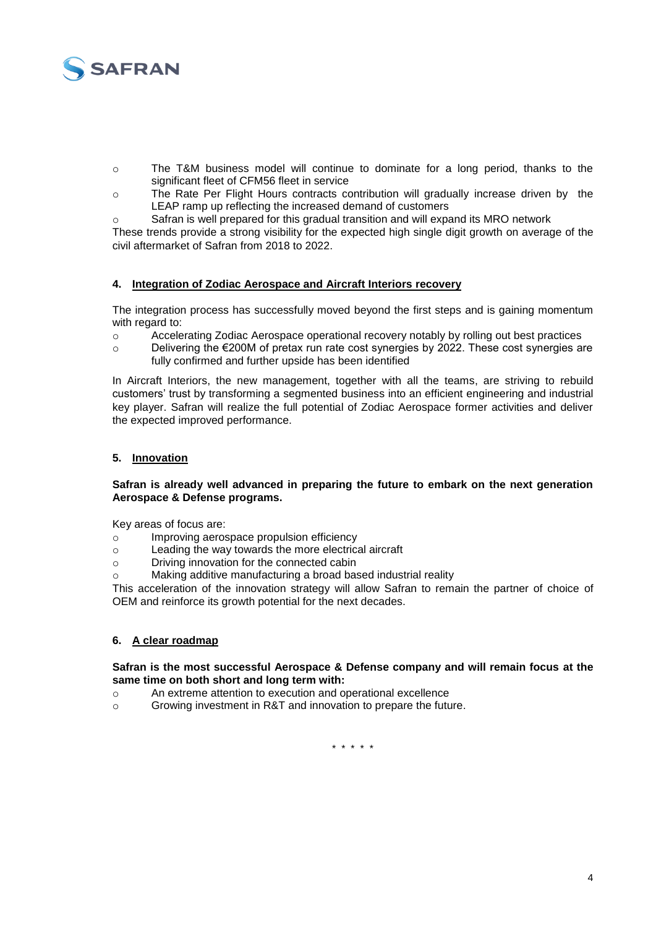

- o The T&M business model will continue to dominate for a long period, thanks to the significant fleet of CFM56 fleet in service
- o The Rate Per Flight Hours contracts contribution will gradually increase driven by the LEAP ramp up reflecting the increased demand of customers
- $\circ$  Safran is well prepared for this gradual transition and will expand its MRO network

These trends provide a strong visibility for the expected high single digit growth on average of the civil aftermarket of Safran from 2018 to 2022.

# **4. Integration of Zodiac Aerospace and Aircraft Interiors recovery**

The integration process has successfully moved beyond the first steps and is gaining momentum with regard to:

- o Accelerating Zodiac Aerospace operational recovery notably by rolling out best practices
- $\circ$  Delivering the  $\epsilon$ 200M of pretax run rate cost synergies by 2022. These cost synergies are fully confirmed and further upside has been identified

In Aircraft Interiors, the new management, together with all the teams, are striving to rebuild customers' trust by transforming a segmented business into an efficient engineering and industrial key player. Safran will realize the full potential of Zodiac Aerospace former activities and deliver the expected improved performance.

# **5. Innovation**

#### **Safran is already well advanced in preparing the future to embark on the next generation Aerospace & Defense programs.**

Key areas of focus are:

- o Improving aerospace propulsion efficiency
- o Leading the way towards the more electrical aircraft
- o Driving innovation for the connected cabin
- o Making additive manufacturing a broad based industrial reality

This acceleration of the innovation strategy will allow Safran to remain the partner of choice of OEM and reinforce its growth potential for the next decades.

# **6. A clear roadmap**

#### **Safran is the most successful Aerospace & Defense company and will remain focus at the same time on both short and long term with:**

- o An extreme attention to execution and operational excellence
- o Growing investment in R&T and innovation to prepare the future.

\* \* \* \* \*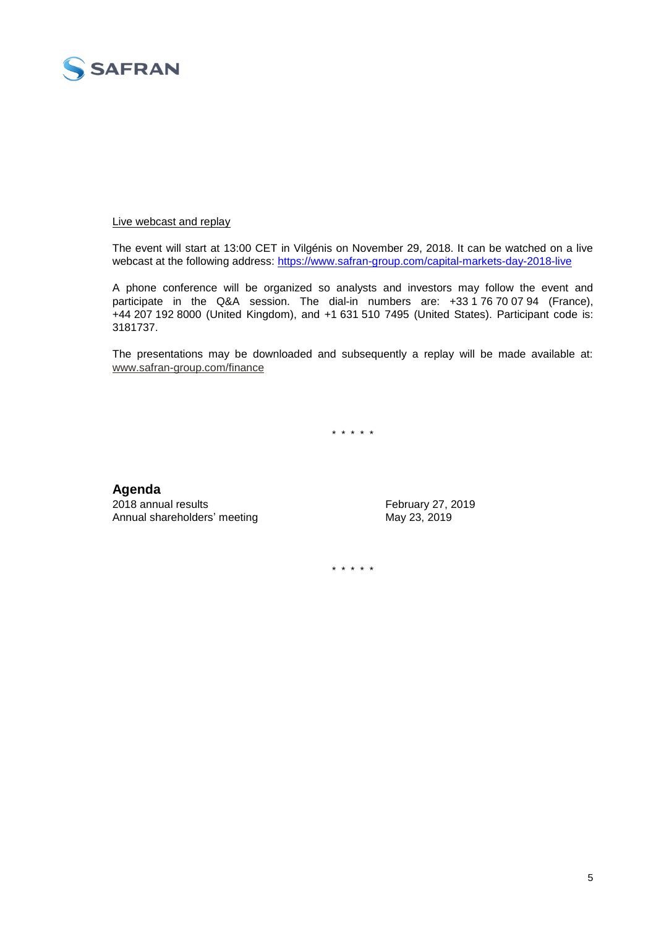

#### Live webcast and replay

The event will start at 13:00 CET in Vilgénis on November 29, 2018. It can be watched on a live webcast at the following address: <https://www.safran-group.com/capital-markets-day-2018-live>

A phone conference will be organized so analysts and investors may follow the event and participate in the Q&A session. The dial-in numbers are: +33 1 76 70 07 94 (France), +44 207 192 8000 (United Kingdom), and +1 631 510 7495 (United States). Participant code is: 3181737.

The presentations may be downloaded and subsequently a replay will be made available at: [www.safran-group.com/finance](http://www.safran-group.com/finance)

\* \* \* \* \*

# **Agenda**

2018 annual results February 27, 2019 Annual shareholders' meeting May 23, 2019

\* \* \* \* \*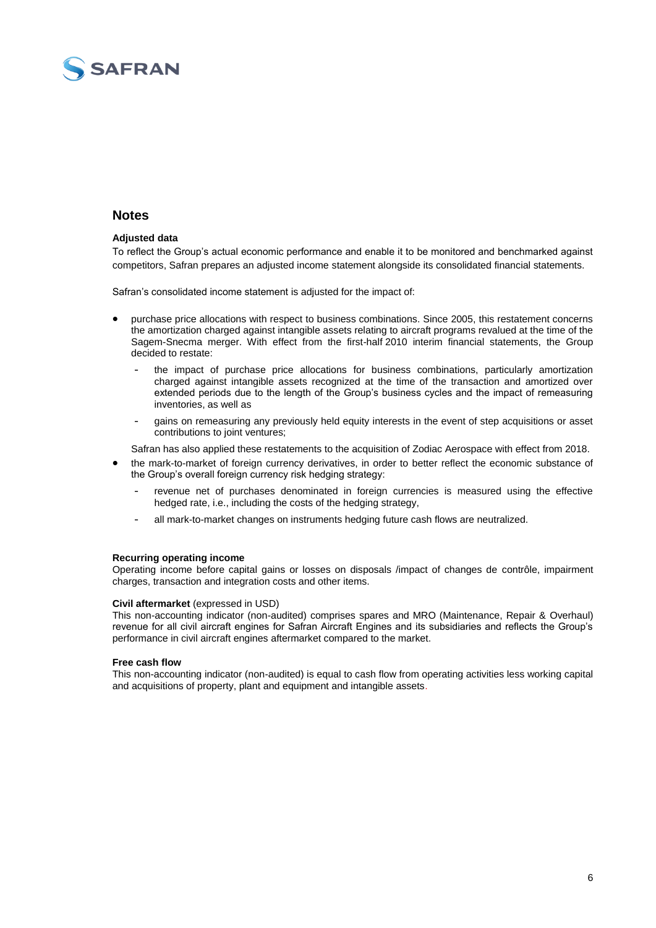

# **Notes**

#### **Adjusted data**

To reflect the Group's actual economic performance and enable it to be monitored and benchmarked against competitors, Safran prepares an adjusted income statement alongside its consolidated financial statements.

Safran's consolidated income statement is adjusted for the impact of:

- purchase price allocations with respect to business combinations. Since 2005, this restatement concerns the amortization charged against intangible assets relating to aircraft programs revalued at the time of the Sagem-Snecma merger. With effect from the first-half 2010 interim financial statements, the Group decided to restate:
	- the impact of purchase price allocations for business combinations, particularly amortization charged against intangible assets recognized at the time of the transaction and amortized over extended periods due to the length of the Group's business cycles and the impact of remeasuring inventories, as well as
	- gains on remeasuring any previously held equity interests in the event of step acquisitions or asset contributions to joint ventures;

Safran has also applied these restatements to the acquisition of Zodiac Aerospace with effect from 2018.

- the mark-to-market of foreign currency derivatives, in order to better reflect the economic substance of the Group's overall foreign currency risk hedging strategy:
	- revenue net of purchases denominated in foreign currencies is measured using the effective hedged rate, i.e., including the costs of the hedging strategy,
	- all mark-to-market changes on instruments hedging future cash flows are neutralized.

#### **Recurring operating income**

Operating income before capital gains or losses on disposals /impact of changes de contrôle, impairment charges, transaction and integration costs and other items.

#### **Civil aftermarket** (expressed in USD)

This non-accounting indicator (non-audited) comprises spares and MRO (Maintenance, Repair & Overhaul) revenue for all civil aircraft engines for Safran Aircraft Engines and its subsidiaries and reflects the Group's performance in civil aircraft engines aftermarket compared to the market.

#### **Free cash flow**

This non-accounting indicator (non-audited) is equal to cash flow from operating activities less working capital and acquisitions of property, plant and equipment and intangible assets.